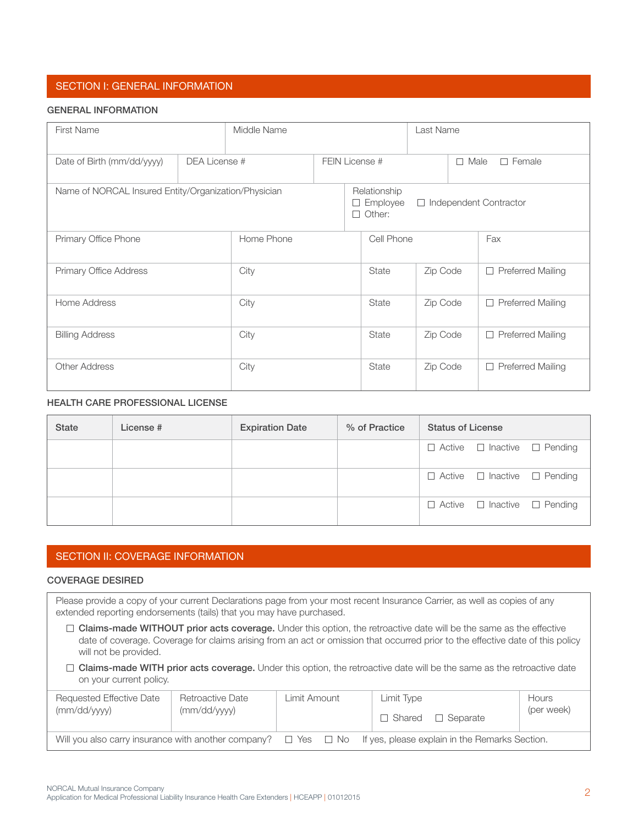# SECTION I: GENERAL INFORMATION

#### GENERAL INFORMATION

| <b>First Name</b>                                    |               | Middle Name |                | Last Name                                 |          |         |                          |
|------------------------------------------------------|---------------|-------------|----------------|-------------------------------------------|----------|---------|--------------------------|
| Date of Birth (mm/dd/yyyy)                           | DEA License # |             | FEIN License # |                                           |          | $\perp$ | $\Box$ Female<br>Male    |
| Name of NORCAL Insured Entity/Organization/Physician |               |             |                | Relationship<br>□ Employee<br>Other:<br>П | $\Box$   |         | Independent Contractor   |
| Primary Office Phone                                 |               | Home Phone  |                | Cell Phone                                |          |         | Fax                      |
| Primary Office Address                               |               | City        |                | <b>State</b>                              | Zip Code |         | $\Box$ Preferred Mailing |
| Home Address                                         |               | City        |                | State                                     | Zip Code |         | $\Box$ Preferred Mailing |
| <b>Billing Address</b>                               |               | City        |                | <b>State</b>                              | Zip Code |         | $\Box$ Preferred Mailing |
| <b>Other Address</b>                                 |               | City        |                | <b>State</b>                              | Zip Code |         | □ Preferred Mailing      |

## Health care Professional License

| <b>State</b> | License # | <b>Expiration Date</b> | % of Practice | <b>Status of License</b>                     |
|--------------|-----------|------------------------|---------------|----------------------------------------------|
|              |           |                        |               | $\Box$ Active $\Box$ Inactive $\Box$ Pending |
|              |           |                        |               | $\Box$ Active $\Box$ Inactive $\Box$ Pending |
|              |           |                        |               | $\Box$ Active $\Box$ Inactive $\Box$ Pending |

## SECTION II: COVERAGE INFORMATION

#### Coverage Desired

Please provide a copy of your current Declarations page from your most recent Insurance Carrier, as well as copies of any extended reporting endorsements (tails) that you may have purchased.

 $\Box$  Claims-made WITHOUT prior acts coverage. Under this option, the retroactive date will be the same as the effective date of coverage. Coverage for claims arising from an act or omission that occurred prior to the effective date of this policy will not be provided.

 $\Box$  Claims-made WITH prior acts coverage. Under this option, the retroactive date will be the same as the retroactive date on your current policy.

| Requested Effective Date<br>(mm/dd/yyyy)            | Retroactive Date<br>(mm/dd/yyyy) | Limit Amount . |  | Limit Type | $\Box$ Shared $\Box$ Separate | Hours<br>(per week)                                                 |  |
|-----------------------------------------------------|----------------------------------|----------------|--|------------|-------------------------------|---------------------------------------------------------------------|--|
| Will you also carry insurance with another company? |                                  |                |  |            |                               | $\Box$ Yes $\Box$ No If yes, please explain in the Remarks Section. |  |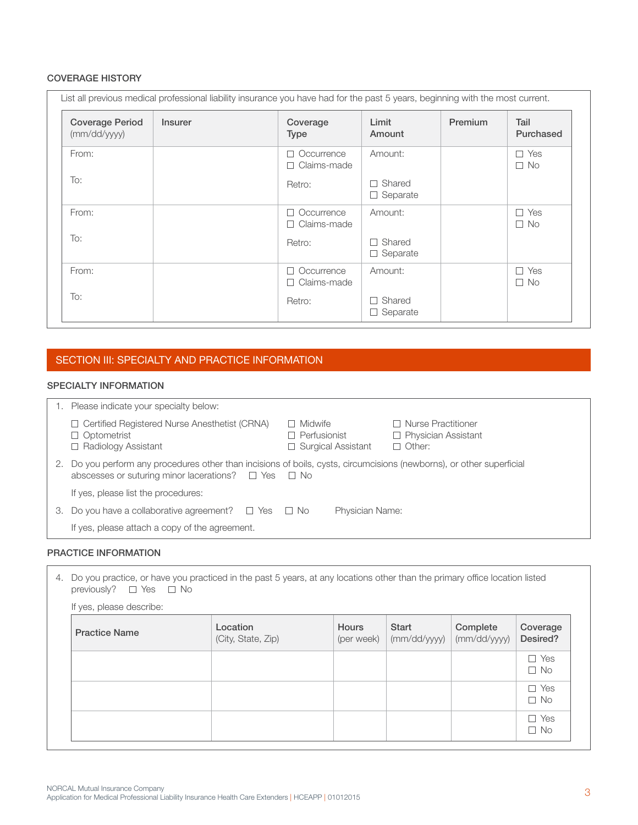#### Coverage History

|                                       | List all previous medical professional liability insurance you have had for the past 5 years, beginning with the most current. |                                                             |                                    |         |                         |
|---------------------------------------|--------------------------------------------------------------------------------------------------------------------------------|-------------------------------------------------------------|------------------------------------|---------|-------------------------|
| <b>Coverage Period</b><br>(mm/dd/yyy) | <b>Insurer</b>                                                                                                                 | Coverage<br>Type                                            | Limit<br>Amount                    | Premium | Tail<br>Purchased       |
| From:                                 |                                                                                                                                | Occurrence<br>$\overline{\phantom{a}}$<br>Claims-made<br>n. | Amount:                            |         | $\Box$ Yes<br>$\Box$ No |
| To:                                   |                                                                                                                                | Retro:                                                      | Shared<br>Separate                 |         |                         |
| From:                                 |                                                                                                                                | Occurrence<br>Claims-made<br>$\overline{\phantom{a}}$       | Amount:                            |         | Yes<br>П<br>$\Box$ No   |
| To:                                   |                                                                                                                                | Retro:                                                      | Shared<br>Separate<br>$\mathbf{I}$ |         |                         |
| From:                                 |                                                                                                                                | Occurrence<br>$\overline{\phantom{a}}$<br>Claims-made<br>п. | Amount:                            |         | Yes<br>П.<br>$\Box$ No  |
| To:                                   |                                                                                                                                | Retro:                                                      | Shared<br>Separate                 |         |                         |

# SECTION III: SPECIALTY AND PRACTICE INFORMATION

#### specialty information

|    | Please indicate your specialty below:                                                                                                                                                     |                                                                    |                                                                          |
|----|-------------------------------------------------------------------------------------------------------------------------------------------------------------------------------------------|--------------------------------------------------------------------|--------------------------------------------------------------------------|
|    | □ Certified Registered Nurse Anesthetist (CRNA)<br>$\Box$ Optometrist<br>$\Box$ Radiology Assistant                                                                                       | $\Box$ Midwife<br>$\Box$ Perfusionist<br>$\Box$ Surgical Assistant | $\Box$ Nurse Practitioner<br>$\Box$ Physician Assistant<br>$\Box$ Other: |
| 2. | Do you perform any procedures other than incisions of boils, cysts, circumcisions (newborns), or other superficial<br>abscesses or suturing minor lacerations? $\square$ Yes $\square$ No |                                                                    |                                                                          |
|    | If yes, please list the procedures:                                                                                                                                                       |                                                                    |                                                                          |
| З. | Do you have a collaborative agreement? $\Box$ Yes $\Box$ No                                                                                                                               | Physician Name:                                                    |                                                                          |
|    | If yes, please attach a copy of the agreement.                                                                                                                                            |                                                                    |                                                                          |

#### Practice Information

| If yes, please describe: |                                |                            |                       |                          |                         |
|--------------------------|--------------------------------|----------------------------|-----------------------|--------------------------|-------------------------|
| <b>Practice Name</b>     | Location<br>(City, State, Zip) | <b>Hours</b><br>(per week) | Start<br>(mm/dd/yyyy) | Complete<br>(mm/dd/yyyy) | Coverage<br>Desired?    |
|                          |                                |                            |                       |                          | $\Box$ Yes<br>$\Box$ No |
|                          |                                |                            |                       |                          | $\Box$ Yes<br>$\Box$ No |
|                          |                                |                            |                       |                          | $\Box$ Yes<br>$\Box$ No |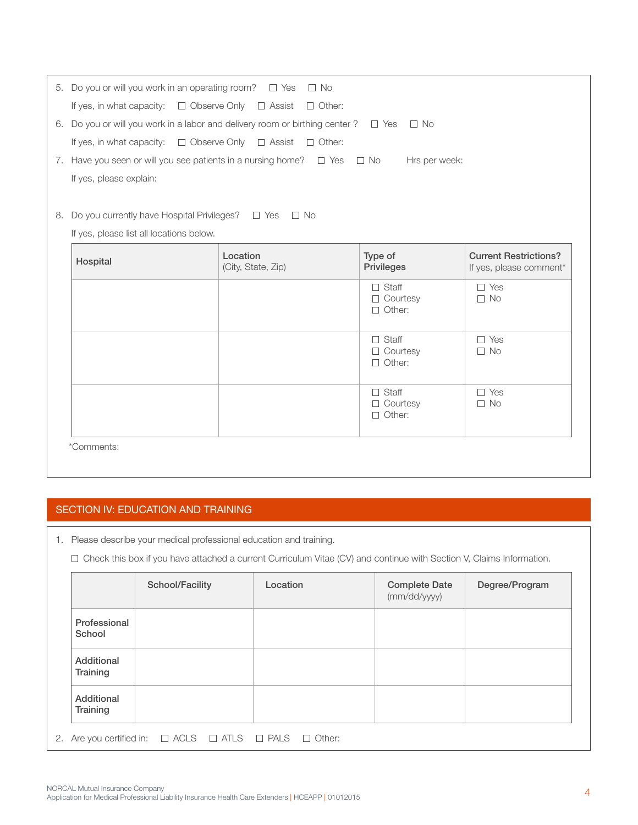|    | 5. Do you or will you work in an operating room? $\square$ Yes $\square$ No                        |                                |                                                  |                                                         |  |  |  |  |
|----|----------------------------------------------------------------------------------------------------|--------------------------------|--------------------------------------------------|---------------------------------------------------------|--|--|--|--|
|    | If yes, in what capacity: $\square$ Observe Only $\square$ Assist $\square$ Other:                 |                                |                                                  |                                                         |  |  |  |  |
|    | 6. Do you or will you work in a labor and delivery room or birthing center ? $\square$ Yes         |                                | $\Box$ No                                        |                                                         |  |  |  |  |
|    | If yes, in what capacity: $\square$ Observe Only $\square$ Assist $\square$ Other:                 |                                |                                                  |                                                         |  |  |  |  |
|    | 7. Have you seen or will you see patients in a nursing home? $\Box$ Yes $\Box$ No<br>Hrs per week: |                                |                                                  |                                                         |  |  |  |  |
|    | If yes, please explain:                                                                            |                                |                                                  |                                                         |  |  |  |  |
|    |                                                                                                    |                                |                                                  |                                                         |  |  |  |  |
| 8. | Do you currently have Hospital Privileges? $\square$ Yes $\square$ No                              |                                |                                                  |                                                         |  |  |  |  |
|    | If yes, please list all locations below.                                                           |                                |                                                  |                                                         |  |  |  |  |
|    | Hospital                                                                                           | Location<br>(City, State, Zip) | Type of<br>Privileges                            | <b>Current Restrictions?</b><br>If yes, please comment* |  |  |  |  |
|    |                                                                                                    |                                | $\Box$ Staff<br>$\Box$ Courtesy<br>$\Box$ Other: | $\Box$ Yes<br>$\Box$ No                                 |  |  |  |  |
|    |                                                                                                    |                                | Staff<br>$\Box$                                  | $\Box$ Yes                                              |  |  |  |  |
|    |                                                                                                    |                                | $\Box$ Courtesy<br>$\Box$ Other:                 | $\Box$ No                                               |  |  |  |  |

\*Comments:

# SECTION IV: EDUCATION AND TRAINING

1. Please describe your medical professional education and training.

Check this box if you have attached a current Curriculum Vitae (CV) and continue with Section V, Claims Information.

|                        | School/Facility | Location | <b>Complete Date</b><br>(mm/dd/yyyy) | Degree/Program |
|------------------------|-----------------|----------|--------------------------------------|----------------|
| Professional<br>School |                 |          |                                      |                |
| Additional<br>Training |                 |          |                                      |                |
| Additional<br>Training |                 |          |                                      |                |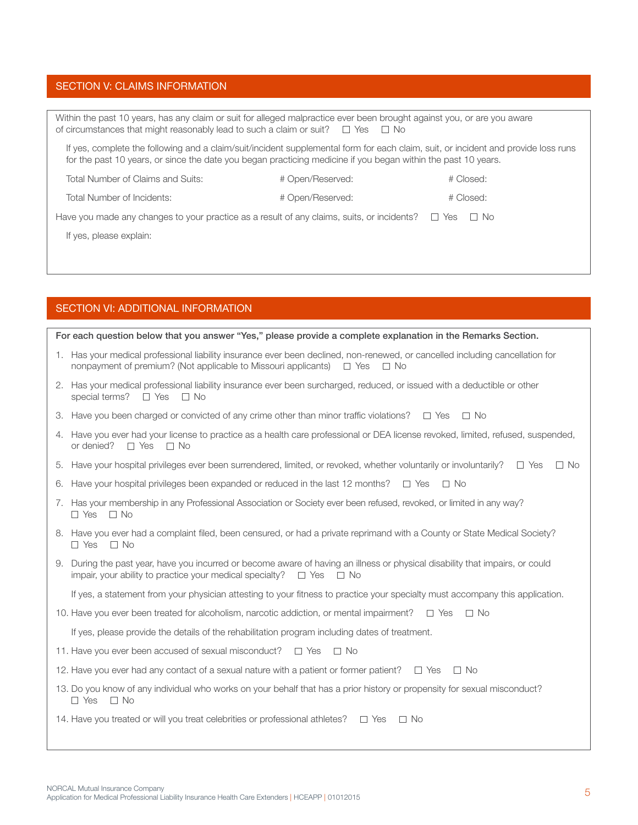## Section V: claims information

| Within the past 10 years, has any claim or suit for alleged malpractice ever been brought against you, or are you aware<br>of circumstances that might reasonably lead to such a claim or suit? $\square$ Yes $\square$ No                          |  |  |  |  |  |  |  |
|-----------------------------------------------------------------------------------------------------------------------------------------------------------------------------------------------------------------------------------------------------|--|--|--|--|--|--|--|
| If yes, complete the following and a claim/suit/incident supplemental form for each claim, suit, or incident and provide loss runs<br>for the past 10 years, or since the date you began practicing medicine if you began within the past 10 years. |  |  |  |  |  |  |  |
| Total Number of Claims and Suits:<br># Open/Reserved:<br># Closed:                                                                                                                                                                                  |  |  |  |  |  |  |  |
| Total Number of Incidents:<br># Closed:<br># Open/Reserved:                                                                                                                                                                                         |  |  |  |  |  |  |  |
| Have you made any changes to your practice as a result of any claims, suits, or incidents? $\Box$<br>Yes<br>⊟ No                                                                                                                                    |  |  |  |  |  |  |  |
| If yes, please explain:                                                                                                                                                                                                                             |  |  |  |  |  |  |  |
|                                                                                                                                                                                                                                                     |  |  |  |  |  |  |  |

#### Section VI: additional information

For each question below that you answer "Yes," please provide a complete explanation in the Remarks Section.

- 1. Has your medical professional liability insurance ever been declined, non-renewed, or cancelled including cancellation for nonpayment of premium? (Not applicable to Missouri applicants)  $\square$  Yes  $\square$  No
- 2. Has your medical professional liability insurance ever been surcharged, reduced, or issued with a deductible or other special terms?  $\Box$  Yes  $\Box$  No
- 3. Have you been charged or convicted of any crime other than minor traffic violations?  $\Box$  Yes  $\Box$  No
- 4. Have you ever had your license to practice as a health care professional or DEA license revoked, limited, refused, suspended, or denied?  $\Box$  Yes  $\Box$  No
- 5. Have your hospital privileges ever been surrendered, limited, or revoked, whether voluntarily or involuntarily?  $\square$  Yes  $\square$  No
- 6. Have your hospital privileges been expanded or reduced in the last 12 months?  $\Box$  Yes  $\Box$  No
- 7. Has your membership in any Professional Association or Society ever been refused, revoked, or limited in any way?  $\Box$  Yes  $\Box$  No
- 8. Have you ever had a complaint filed, been censured, or had a private reprimand with a County or State Medical Society?  $\Box$  Yes  $\Box$  No
- 9. During the past year, have you incurred or become aware of having an illness or physical disability that impairs, or could impair, your ability to practice your medical specialty?  $\square$  Yes  $\square$  No

If yes, a statement from your physician attesting to your fitness to practice your specialty must accompany this application.

10. Have you ever been treated for alcoholism, narcotic addiction, or mental impairment?  $\square$  Yes  $\square$  No

If yes, please provide the details of the rehabilitation program including dates of treatment.

- 11. Have you ever been accused of sexual misconduct?  $\Box$  Yes  $\Box$  No
- 12. Have you ever had any contact of a sexual nature with a patient or former patient?  $\square$  Yes  $\square$  No
- 13. Do you know of any individual who works on your behalf that has a prior history or propensity for sexual misconduct?  $\Box$  Yes  $\Box$  No

14. Have you treated or will you treat celebrities or professional athletes?  $\Box$  Yes  $\Box$  No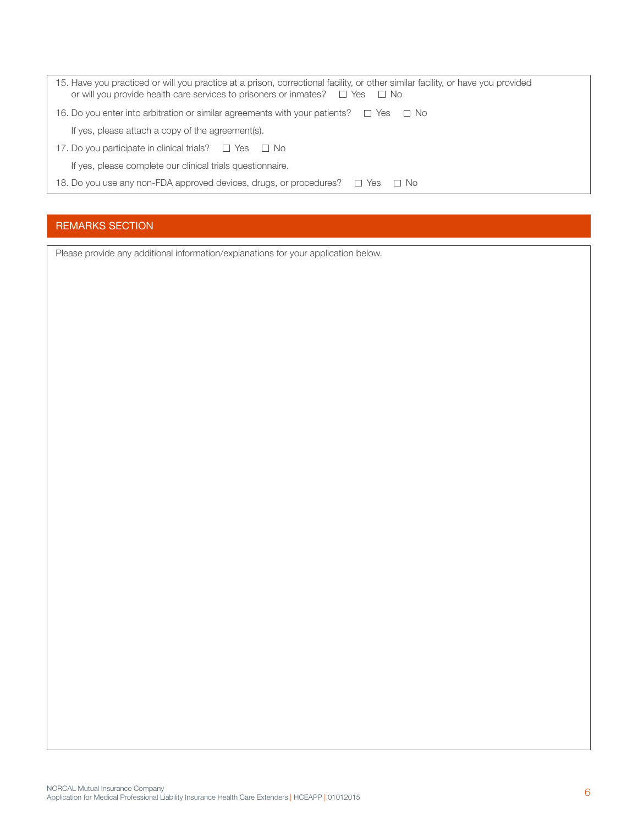| 15. Have you practiced or will you practice at a prison, correctional facility, or other similar facility, or have you provided<br>or will you provide health care services to prisoners or inmates? $\square$ Yes $\square$ No |  |
|---------------------------------------------------------------------------------------------------------------------------------------------------------------------------------------------------------------------------------|--|
| 16. Do you enter into arbitration or similar agreements with your patients? $\square$ Yes $\square$ No                                                                                                                          |  |
| If yes, please attach a copy of the agreement(s).                                                                                                                                                                               |  |
| 17. Do you participate in clinical trials? $\Box$ Yes $\Box$ No                                                                                                                                                                 |  |
| If yes, please complete our clinical trials questionnaire.                                                                                                                                                                      |  |
| 18. Do you use any non-FDA approved devices, drugs, or procedures?<br>□ Yes<br>i i No                                                                                                                                           |  |
|                                                                                                                                                                                                                                 |  |

# REMARKS SECTION

Please provide any additional information/explanations for your application below.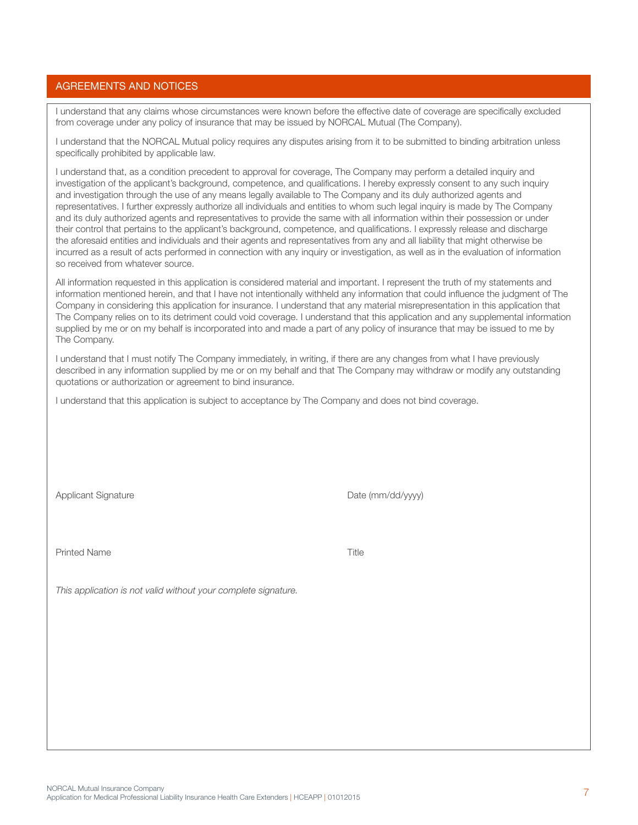## Agreements and Notices

I understand that any claims whose circumstances were known before the effective date of coverage are specifically excluded from coverage under any policy of insurance that may be issued by NORCAL Mutual (The Company).

I understand that the NORCAL Mutual policy requires any disputes arising from it to be submitted to binding arbitration unless specifically prohibited by applicable law.

I understand that, as a condition precedent to approval for coverage, The Company may perform a detailed inquiry and investigation of the applicant's background, competence, and qualifications. I hereby expressly consent to any such inquiry and investigation through the use of any means legally available to The Company and its duly authorized agents and representatives. I further expressly authorize all individuals and entities to whom such legal inquiry is made by The Company and its duly authorized agents and representatives to provide the same with all information within their possession or under their control that pertains to the applicant's background, competence, and qualifications. I expressly release and discharge the aforesaid entities and individuals and their agents and representatives from any and all liability that might otherwise be incurred as a result of acts performed in connection with any inquiry or investigation, as well as in the evaluation of information so received from whatever source.

All information requested in this application is considered material and important. I represent the truth of my statements and information mentioned herein, and that I have not intentionally withheld any information that could influence the judgment of The Company in considering this application for insurance. I understand that any material misrepresentation in this application that The Company relies on to its detriment could void coverage. I understand that this application and any supplemental information supplied by me or on my behalf is incorporated into and made a part of any policy of insurance that may be issued to me by The Company.

I understand that I must notify The Company immediately, in writing, if there are any changes from what I have previously described in any information supplied by me or on my behalf and that The Company may withdraw or modify any outstanding quotations or authorization or agreement to bind insurance.

I understand that this application is subject to acceptance by The Company and does not bind coverage.

Applicant Signature **Date (mm/dd/yyyy)** 

Printed Name Title

*This application is not valid without your complete signature.*